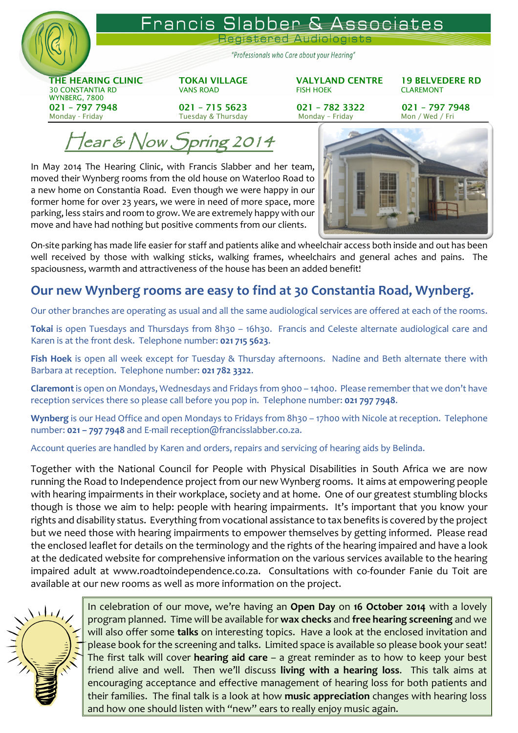

Francis Slabber & Associates

Registered Audiologis

"Professionals who Care about your Hearing"

 THE HEARING CLINIC TOKAI VILLAGE VALYLAND CENTRE 19 BELVEDERE RD 30 CONSTANTIA RD VANS ROAD FISH HOEK CLAREMONT WYNBERG, 7800 021 – 797 7948 021 – 715 5623 021 – 782 3322 021 – 797 7948 Monday - Friday Monday – Friday Monday – Friday Mon / Wed / Friday Mon / Wed / Fri

 $\ell$ ear & Now Spring 2014

In May 2014 The Hearing Clinic, with Francis Slabber and her team, moved their Wynberg rooms from the old house on Waterloo Road to a new home on Constantia Road. Even though we were happy in our former home for over 23 years, we were in need of more space, more parking, less stairs and room to grow. We are extremely happy with our move and have had nothing but positive comments from our clients.



On-site parking has made life easier for staff and patients alike and wheelchair access both inside and out has been well received by those with walking sticks, walking frames, wheelchairs and general aches and pains. The spaciousness, warmth and attractiveness of the house has been an added benefit!

## Our new Wynberg rooms are easy to find at 30 Constantia Road, Wynberg.

Our other branches are operating as usual and all the same audiological services are offered at each of the rooms.

Tokai is open Tuesdays and Thursdays from 8h30 - 16h30. Francis and Celeste alternate audiological care and Karen is at the front desk. Telephone number: 021 715 5623.

Fish Hoek is open all week except for Tuesday & Thursday afternoons. Nadine and Beth alternate there with Barbara at reception. Telephone number: 021 782 3322.

Claremont is open on Mondays, Wednesdays and Fridays from 9h00 - 14h00. Please remember that we don't have reception services there so please call before you pop in. Telephone number: 021 797 7948.

Wynberg is our Head Office and open Mondays to Fridays from 8h30 - 17h00 with Nicole at reception. Telephone number: 021 – 797 7948 and E-mail reception@francisslabber.co.za.

Account queries are handled by Karen and orders, repairs and servicing of hearing aids by Belinda.

Together with the National Council for People with Physical Disabilities in South Africa we are now running the Road to Independence project from our new Wynberg rooms. It aims at empowering people with hearing impairments in their workplace, society and at home. One of our greatest stumbling blocks though is those we aim to help: people with hearing impairments. It's important that you know your rights and disability status. Everything from vocational assistance to tax benefits is covered by the project but we need those with hearing impairments to empower themselves by getting informed. Please read the enclosed leaflet for details on the terminology and the rights of the hearing impaired and have a look at the dedicated website for comprehensive information on the various services available to the hearing impaired adult at www.roadtoindependence.co.za. Consultations with co-founder Fanie du Toit are available at our new rooms as well as more information on the project.



In celebration of our move, we're having an **Open Day** on 16 October 2014 with a lovely<br>In celebration of our move, we're having an **Open Day** on 16 October 2014 with a lovely program planned. Time will be available for wax checks and free hearing screening and we will also offer some talks on interesting topics. Have a look at the enclosed invitation and please book for the screening and talks. Limited space is available so please book your seat! The first talk will cover **hearing aid care** – a great reminder as to how to keep your best friend alive and well. Then we'll discuss living with a hearing loss. This talk aims at encouraging acceptance and effective management of hearing loss for both patients and their families. The final talk is a look at how music appreciation changes with hearing loss and how one should listen with "new" ears to really enjoy music again.